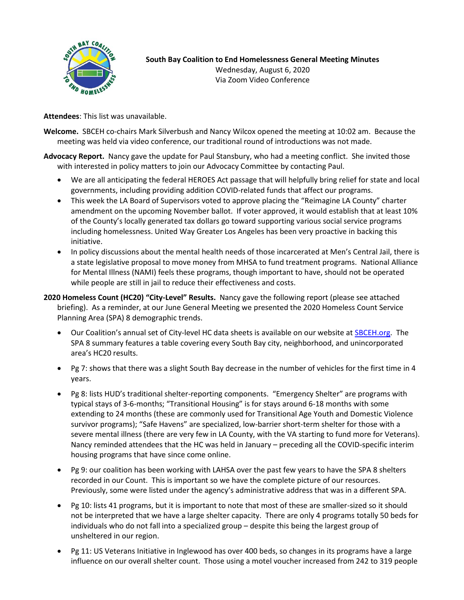

**Attendees**: This list was unavailable.

- **Welcome.** SBCEH co-chairs Mark Silverbush and Nancy Wilcox opened the meeting at 10:02 am. Because the meeting was held via video conference, our traditional round of introductions was not made.
- **Advocacy Report.** Nancy gave the update for Paul Stansbury, who had a meeting conflict. She invited those with interested in policy matters to join our Advocacy Committee by contacting Paul.
	- We are all anticipating the federal HEROES Act passage that will helpfully bring relief for state and local governments, including providing addition COVID-related funds that affect our programs.
	- This week the LA Board of Supervisors voted to approve placing the "Reimagine LA County" charter amendment on the upcoming November ballot. If voter approved, it would establish that at least 10% of the County's locally generated tax dollars go toward supporting various social service programs including homelessness. United Way Greater Los Angeles has been very proactive in backing this initiative.
	- In policy discussions about the mental health needs of those incarcerated at Men's Central Jail, there is a state legislative proposal to move money from MHSA to fund treatment programs. National Alliance for Mental Illness (NAMI) feels these programs, though important to have, should not be operated while people are still in jail to reduce their effectiveness and costs.

## **2020 Homeless Count (HC20) "City-Level" Results.** Nancy gave the following report (please see attached briefing). As a reminder, at our June General Meeting we presented the 2020 Homeless Count Service Planning Area (SPA) 8 demographic trends.

- Our Coalition's annual set of City-level HC data sheets is available on our website at **SBCEH.org.** The SPA 8 summary features a table covering every South Bay city, neighborhood, and unincorporated area's HC20 results.
- Pg 7: shows that there was a slight South Bay decrease in the number of vehicles for the first time in 4 years.
- Pg 8: lists HUD's traditional shelter-reporting components. "Emergency Shelter" are programs with typical stays of 3-6-months; "Transitional Housing" is for stays around 6-18 months with some extending to 24 months (these are commonly used for Transitional Age Youth and Domestic Violence survivor programs); "Safe Havens" are specialized, low-barrier short-term shelter for those with a severe mental illness (there are very few in LA County, with the VA starting to fund more for Veterans). Nancy reminded attendees that the HC was held in January – preceding all the COVID-specific interim housing programs that have since come online.
- Pg 9: our coalition has been working with LAHSA over the past few years to have the SPA 8 shelters recorded in our Count. This is important so we have the complete picture of our resources. Previously, some were listed under the agency's administrative address that was in a different SPA.
- Pg 10: lists 41 programs, but it is important to note that most of these are smaller-sized so it should not be interpreted that we have a large shelter capacity. There are only 4 programs totally 50 beds for individuals who do not fall into a specialized group – despite this being the largest group of unsheltered in our region.
- Pg 11: US Veterans Initiative in Inglewood has over 400 beds, so changes in its programs have a large influence on our overall shelter count. Those using a motel voucher increased from 242 to 319 people